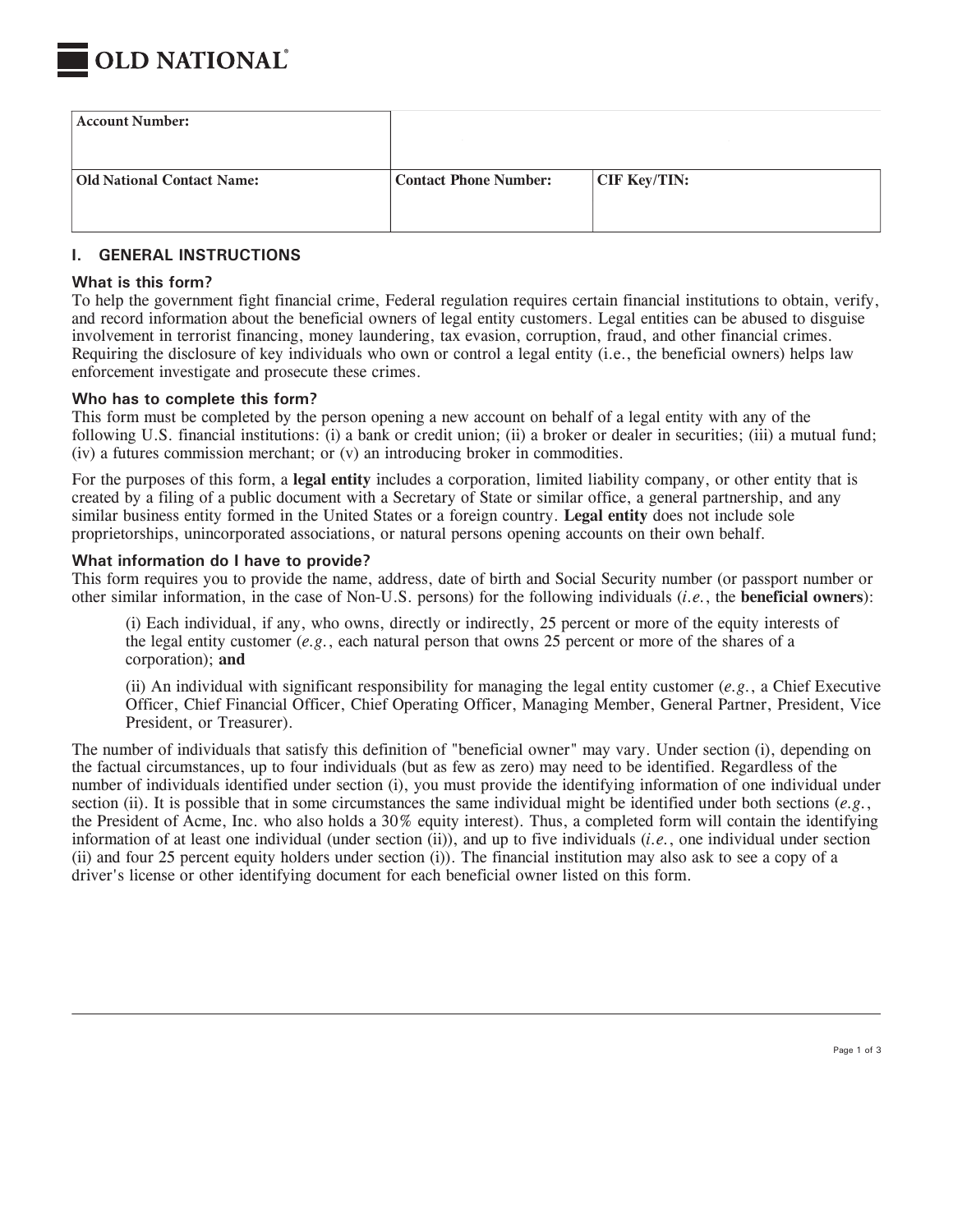

| <b>Account Number:</b>            |                              |                      |
|-----------------------------------|------------------------------|----------------------|
| <b>Old National Contact Name:</b> | <b>Contact Phone Number:</b> | $\vert$ CIF Key/TIN: |

### **I. GENERAL INSTRUCTIONS**

#### **What is this form?**

To help the government fight financial crime, Federal regulation requires certain financial institutions to obtain, verify, and record information about the beneficial owners of legal entity customers. Legal entities can be abused to disguise involvement in terrorist financing, money laundering, tax evasion, corruption, fraud, and other financial crimes. Requiring the disclosure of key individuals who own or control a legal entity (i.e., the beneficial owners) helps law enforcement investigate and prosecute these crimes.

#### **Who has to complete this form?**

This form must be completed by the person opening a new account on behalf of a legal entity with any of the following U.S. financial institutions: (i) a bank or credit union; (ii) a broker or dealer in securities; (iii) a mutual fund; (iv) a futures commission merchant; or (v) an introducing broker in commodities.

For the purposes of this form, a **legal entity** includes a corporation, limited liability company, or other entity that is created by a filing of a public document with a Secretary of State or similar office, a general partnership, and any similar business entity formed in the United States or a foreign country. **Legal entity** does not include sole proprietorships, unincorporated associations, or natural persons opening accounts on their own behalf.

#### **What information do I have to provide?**

This form requires you to provide the name, address, date of birth and Social Security number (or passport number or other similar information, in the case of Non-U.S. persons) for the following individuals (*i.e.*, the **beneficial owners**):

(i) Each individual, if any, who owns, directly or indirectly, 25 percent or more of the equity interests of the legal entity customer (*e.g.*, each natural person that owns 25 percent or more of the shares of a corporation); **and**

(ii) An individual with significant responsibility for managing the legal entity customer (*e.g.*, a Chief Executive Officer, Chief Financial Officer, Chief Operating Officer, Managing Member, General Partner, President, Vice President, or Treasurer).

The number of individuals that satisfy this definition of "beneficial owner" may vary. Under section (i), depending on the factual circumstances, up to four individuals (but as few as zero) may need to be identified. Regardless of the number of individuals identified under section (i), you must provide the identifying information of one individual under section (ii). It is possible that in some circumstances the same individual might be identified under both sections (*e.g.*, the President of Acme, Inc. who also holds a 30% equity interest). Thus, a completed form will contain the identifying information of at least one individual (under section (ii)), and up to five individuals (*i.e.*, one individual under section (ii) and four 25 percent equity holders under section (i)). The financial institution may also ask to see a copy of a driver's license or other identifying document for each beneficial owner listed on this form.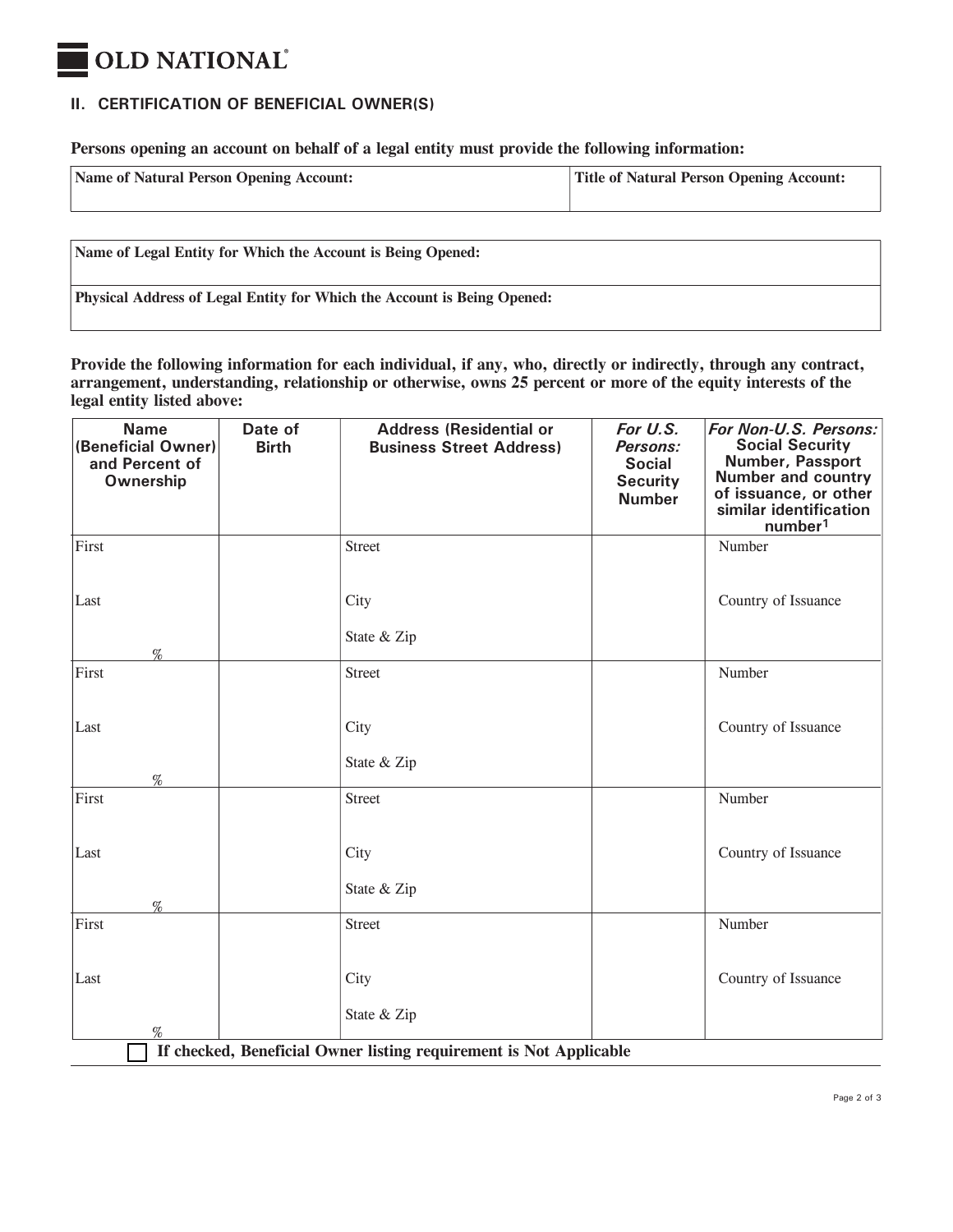# **OLD NATIONAL**

## **II. CERTIFICATION OF BENEFICIAL OWNER(S)**

**Persons opening an account on behalf of a legal entity must provide the following information:**

| Name of Natural Person Opening Account: | <b>Title of Natural Person Opening Account:</b> |
|-----------------------------------------|-------------------------------------------------|
|-----------------------------------------|-------------------------------------------------|

**Name of Legal Entity for Which the Account is Being Opened:**

**Physical Address of Legal Entity for Which the Account is Being Opened:**

**Provide the following information for each individual, if any, who, directly or indirectly, through any contract, arrangement, understanding, relationship or otherwise, owns 25 percent or more of the equity interests of the legal entity listed above:**

| <b>Name</b><br>(Beneficial Owner)<br>and Percent of<br>Ownership        | Date of<br><b>Birth</b> | <b>Address (Residential or</b><br><b>Business Street Address)</b> | For U.S.<br>Persons:<br><b>Social</b><br><b>Security</b><br><b>Number</b> | For Non-U.S. Persons:<br><b>Social Security</b><br><b>Number, Passport</b><br><b>Number and country</b><br>of issuance, or other<br>similar identification<br>number <sup>1</sup> |  |  |
|-------------------------------------------------------------------------|-------------------------|-------------------------------------------------------------------|---------------------------------------------------------------------------|-----------------------------------------------------------------------------------------------------------------------------------------------------------------------------------|--|--|
| First                                                                   |                         | Street                                                            |                                                                           | Number                                                                                                                                                                            |  |  |
| Last<br>%                                                               |                         | City<br>State & Zip                                               |                                                                           | Country of Issuance                                                                                                                                                               |  |  |
| First                                                                   |                         | Street                                                            |                                                                           | Number                                                                                                                                                                            |  |  |
| Last<br>%                                                               |                         | City<br>State & Zip                                               |                                                                           | Country of Issuance                                                                                                                                                               |  |  |
| First                                                                   |                         | Street                                                            |                                                                           | Number                                                                                                                                                                            |  |  |
| Last<br>%                                                               |                         | City<br>State & Zip                                               |                                                                           | Country of Issuance                                                                                                                                                               |  |  |
| First                                                                   |                         | <b>Street</b>                                                     |                                                                           | Number                                                                                                                                                                            |  |  |
| Last                                                                    |                         | City<br>State & Zip                                               |                                                                           | Country of Issuance                                                                                                                                                               |  |  |
| %<br>If checked, Beneficial Owner listing requirement is Not Applicable |                         |                                                                   |                                                                           |                                                                                                                                                                                   |  |  |